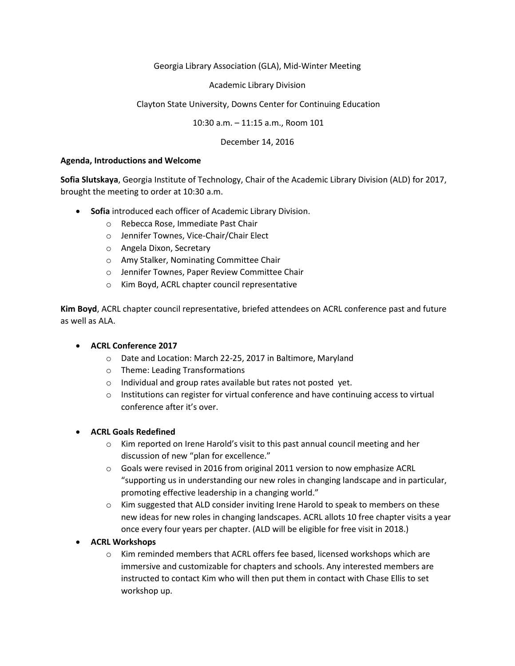#### Georgia Library Association (GLA), Mid-Winter Meeting

Academic Library Division

### Clayton State University, Downs Center for Continuing Education

10:30 a.m. – 11:15 a.m., Room 101

December 14, 2016

#### **Agenda, Introductions and Welcome**

**Sofia Slutskaya**, Georgia Institute of Technology, Chair of the Academic Library Division (ALD) for 2017, brought the meeting to order at 10:30 a.m.

- **Sofia** introduced each officer of Academic Library Division.
	- o Rebecca Rose, Immediate Past Chair
	- o Jennifer Townes, Vice-Chair/Chair Elect
	- o Angela Dixon, Secretary
	- o Amy Stalker, Nominating Committee Chair
	- o Jennifer Townes, Paper Review Committee Chair
	- o Kim Boyd, ACRL chapter council representative

**Kim Boyd**, ACRL chapter council representative, briefed attendees on ACRL conference past and future as well as ALA.

# **ACRL Conference 2017**

- o Date and Location: March 22-25, 2017 in Baltimore, Maryland
- o Theme: Leading Transformations
- o Individual and group rates available but rates not posted yet.
- $\circ$  Institutions can register for virtual conference and have continuing access to virtual conference after it's over.

#### **ACRL Goals Redefined**

- o Kim reported on Irene Harold's visit to this past annual council meeting and her discussion of new "plan for excellence."
- $\circ$  Goals were revised in 2016 from original 2011 version to now emphasize ACRL "supporting us in understanding our new roles in changing landscape and in particular, promoting effective leadership in a changing world."
- $\circ$  Kim suggested that ALD consider inviting Irene Harold to speak to members on these new ideas for new roles in changing landscapes. ACRL allots 10 free chapter visits a year once every four years per chapter. (ALD will be eligible for free visit in 2018.)
- **ACRL Workshops**
	- o Kim reminded members that ACRL offers fee based, licensed workshops which are immersive and customizable for chapters and schools. Any interested members are instructed to contact Kim who will then put them in contact with Chase Ellis to set workshop up.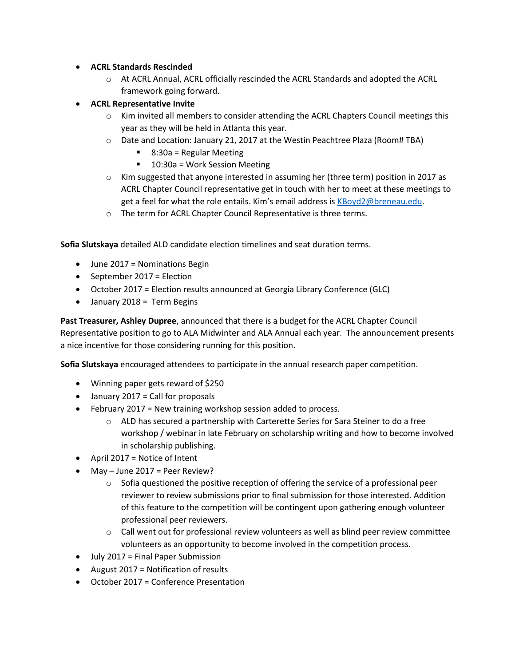# **ACRL Standards Rescinded**

- o At ACRL Annual, ACRL officially rescinded the ACRL Standards and adopted the ACRL framework going forward.
- **ACRL Representative Invite**
	- $\circ$  Kim invited all members to consider attending the ACRL Chapters Council meetings this year as they will be held in Atlanta this year.
	- o Date and Location: January 21, 2017 at the Westin Peachtree Plaza (Room# TBA)
		- $\blacksquare$  8:30a = Regular Meeting
		- 10:30a = Work Session Meeting
	- $\circ$  Kim suggested that anyone interested in assuming her (three term) position in 2017 as ACRL Chapter Council representative get in touch with her to meet at these meetings to get a feel for what the role entails. Kim's email address is [KBoyd2@breneau.edu.](mailto:KBoyd2@breneau.edu)
	- o The term for ACRL Chapter Council Representative is three terms.

**Sofia Slutskaya** detailed ALD candidate election timelines and seat duration terms.

- June 2017 = Nominations Begin
- September 2017 = Election
- October 2017 = Election results announced at Georgia Library Conference (GLC)
- January 2018 = Term Begins

**Past Treasurer, Ashley Dupree**, announced that there is a budget for the ACRL Chapter Council Representative position to go to ALA Midwinter and ALA Annual each year. The announcement presents a nice incentive for those considering running for this position.

**Sofia Slutskaya** encouraged attendees to participate in the annual research paper competition.

- Winning paper gets reward of \$250
- January 2017 = Call for proposals
- February 2017 = New training workshop session added to process.
	- $\circ$  ALD has secured a partnership with Carterette Series for Sara Steiner to do a free workshop / webinar in late February on scholarship writing and how to become involved in scholarship publishing.
- $\bullet$  April 2017 = Notice of Intent
- $\bullet$  May June 2017 = Peer Review?
	- $\circ$  Sofia questioned the positive reception of offering the service of a professional peer reviewer to review submissions prior to final submission for those interested. Addition of this feature to the competition will be contingent upon gathering enough volunteer professional peer reviewers.
	- $\circ$  Call went out for professional review volunteers as well as blind peer review committee volunteers as an opportunity to become involved in the competition process.
- July 2017 = Final Paper Submission
- August 2017 = Notification of results
- October 2017 = Conference Presentation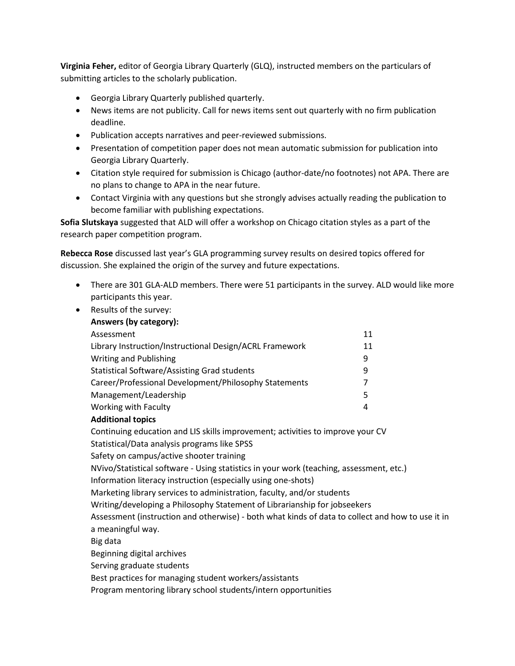**Virginia Feher,** editor of Georgia Library Quarterly (GLQ), instructed members on the particulars of submitting articles to the scholarly publication.

- Georgia Library Quarterly published quarterly.
- News items are not publicity. Call for news items sent out quarterly with no firm publication deadline.
- Publication accepts narratives and peer-reviewed submissions.
- Presentation of competition paper does not mean automatic submission for publication into Georgia Library Quarterly.
- Citation style required for submission is Chicago (author-date/no footnotes) not APA. There are no plans to change to APA in the near future.
- Contact Virginia with any questions but she strongly advises actually reading the publication to become familiar with publishing expectations.

**Sofia Slutskaya** suggested that ALD will offer a workshop on Chicago citation styles as a part of the research paper competition program.

**Rebecca Rose** discussed last year's GLA programming survey results on desired topics offered for discussion. She explained the origin of the survey and future expectations.

- There are 301 GLA-ALD members. There were 51 participants in the survey. ALD would like more participants this year.
- Results of the survey:

| Answers (by category):                                  |    |
|---------------------------------------------------------|----|
| Assessment                                              | 11 |
| Library Instruction/Instructional Design/ACRL Framework | 11 |
| <b>Writing and Publishing</b>                           | 9  |
| Statistical Software/Assisting Grad students            | q  |
| Career/Professional Development/Philosophy Statements   |    |
| Management/Leadership                                   | 5  |
| Working with Faculty                                    | 4  |
|                                                         |    |

# **Additional topics**

Continuing education and LIS skills improvement; activities to improve your CV Statistical/Data analysis programs like SPSS

Safety on campus/active shooter training

NVivo/Statistical software - Using statistics in your work (teaching, assessment, etc.)

Information literacy instruction (especially using one-shots)

Marketing library services to administration, faculty, and/or students

Writing/developing a Philosophy Statement of Librarianship for jobseekers

Assessment (instruction and otherwise) - both what kinds of data to collect and how to use it in a meaningful way.

Big data

Beginning digital archives

Serving graduate students

Best practices for managing student workers/assistants

Program mentoring library school students/intern opportunities